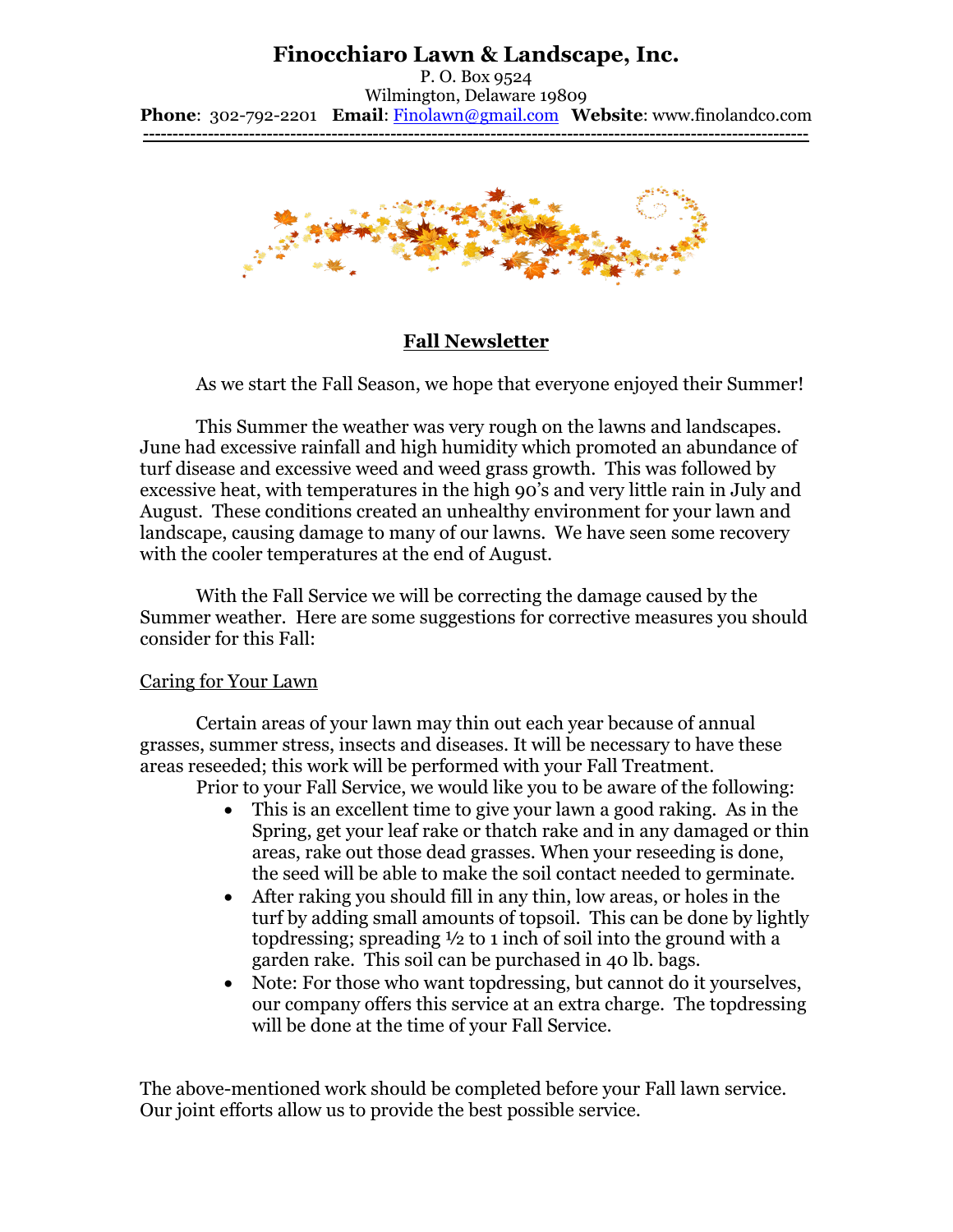# **Finocchiaro Lawn & Landscape, Inc.**

P. O. Box 9524 Wilmington, Delaware 19809 **Phone**: 302-792-2201 **Email**: [Finolawn@gmail.com](mailto:Finolawn@gmail.com) **Website**: www.finolandco.com **-----------------------------------------------------------------------------------------------------------------**



### **Fall Newsletter**

As we start the Fall Season, we hope that everyone enjoyed their Summer!

This Summer the weather was very rough on the lawns and landscapes. June had excessive rainfall and high humidity which promoted an abundance of turf disease and excessive weed and weed grass growth. This was followed by excessive heat, with temperatures in the high 90's and very little rain in July and August. These conditions created an unhealthy environment for your lawn and landscape, causing damage to many of our lawns. We have seen some recovery with the cooler temperatures at the end of August.

With the Fall Service we will be correcting the damage caused by the Summer weather. Here are some suggestions for corrective measures you should consider for this Fall:

### Caring for Your Lawn

Certain areas of your lawn may thin out each year because of annual grasses, summer stress, insects and diseases. It will be necessary to have these areas reseeded; this work will be performed with your Fall Treatment.

Prior to your Fall Service, we would like you to be aware of the following:

- This is an excellent time to give your lawn a good raking. As in the Spring, get your leaf rake or thatch rake and in any damaged or thin areas, rake out those dead grasses. When your reseeding is done, the seed will be able to make the soil contact needed to germinate.
- After raking you should fill in any thin, low areas, or holes in the turf by adding small amounts of topsoil. This can be done by lightly topdressing; spreading ½ to 1 inch of soil into the ground with a garden rake. This soil can be purchased in 40 lb. bags.
- Note: For those who want topdressing, but cannot do it yourselves, our company offers this service at an extra charge. The topdressing will be done at the time of your Fall Service.

The above-mentioned work should be completed before your Fall lawn service. Our joint efforts allow us to provide the best possible service.